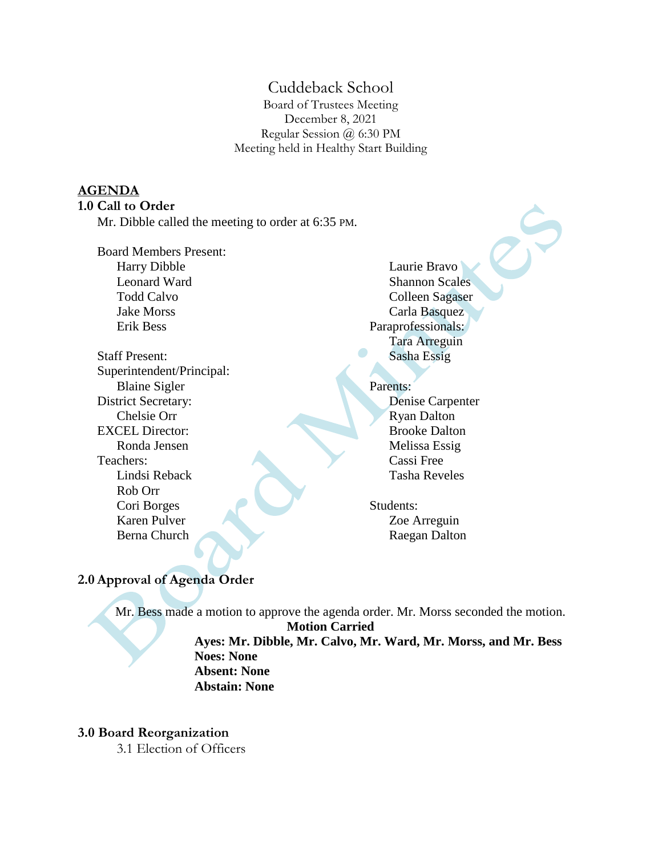# Cuddeback School

Board of Trustees Meeting December 8, 2021 Regular Session @ 6:30 PM Meeting held in Healthy Start Building

#### **AGENDA**

#### **1.0 Call to Order**

Mr. Dibble called the meeting to order at 6:35 PM.

Board Members Present: Harry Dibble Leonard Ward Todd Calvo Jake Morss Erik Bess

Staff Present: Superintendent/Principal: Blaine Sigler District Secretary: Chelsie Orr EXCEL Director: Ronda Jensen Teachers: Lindsi Reback Rob Orr Cori Borges Karen Pulver Berna Church

Laurie Bravo Shannon Scales Colleen Sagaser Carla Basquez Paraprofessionals: Tara Arreguin Sasha Essig

#### Parents:

Denise Carpenter Ryan Dalton Brooke Dalton Melissa Essig Cassi Free Tasha Reveles

Students: Zoe Arreguin Raegan Dalton

## **2.0 Approval of Agenda Order**

Mr. Bess made a motion to approve the agenda order. Mr. Morss seconded the motion. **Motion Carried**

> **Ayes: Mr. Dibble, Mr. Calvo, Mr. Ward, Mr. Morss, and Mr. Bess Noes: None Absent: None Abstain: None**

#### **3.0 Board Reorganization**

3.1 Election of Officers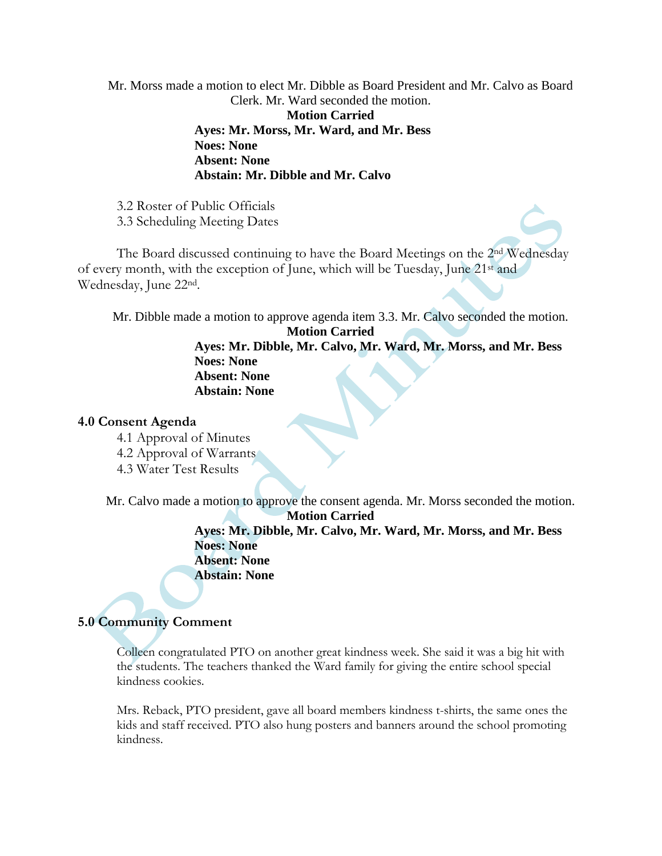Mr. Morss made a motion to elect Mr. Dibble as Board President and Mr. Calvo as Board Clerk. Mr. Ward seconded the motion.

**Motion Carried Ayes: Mr. Morss, Mr. Ward, and Mr. Bess Noes: None Absent: None Abstain: Mr. Dibble and Mr. Calvo**

3.2 Roster of Public Officials 3.3 Scheduling Meeting Dates

The Board discussed continuing to have the Board Meetings on the 2nd Wednesday of every month, with the exception of June, which will be Tuesday, June 21st and Wednesday, June 22nd.

Mr. Dibble made a motion to approve agenda item 3.3. Mr. Calvo seconded the motion.

**Motion Carried**

**Ayes: Mr. Dibble, Mr. Calvo, Mr. Ward, Mr. Morss, and Mr. Bess Noes: None Absent: None Abstain: None**

#### **4.0 Consent Agenda**

- 4.1 Approval of Minutes
- 4.2 Approval of Warrants
- 4.3 Water Test Results

Mr. Calvo made a motion to approve the consent agenda. Mr. Morss seconded the motion. **Motion Carried**

## **Ayes: Mr. Dibble, Mr. Calvo, Mr. Ward, Mr. Morss, and Mr. Bess Noes: None Absent: None**

**Abstain: None**

# **5.0 Community Comment**

Colleen congratulated PTO on another great kindness week. She said it was a big hit with the students. The teachers thanked the Ward family for giving the entire school special kindness cookies.

Mrs. Reback, PTO president, gave all board members kindness t-shirts, the same ones the kids and staff received. PTO also hung posters and banners around the school promoting kindness.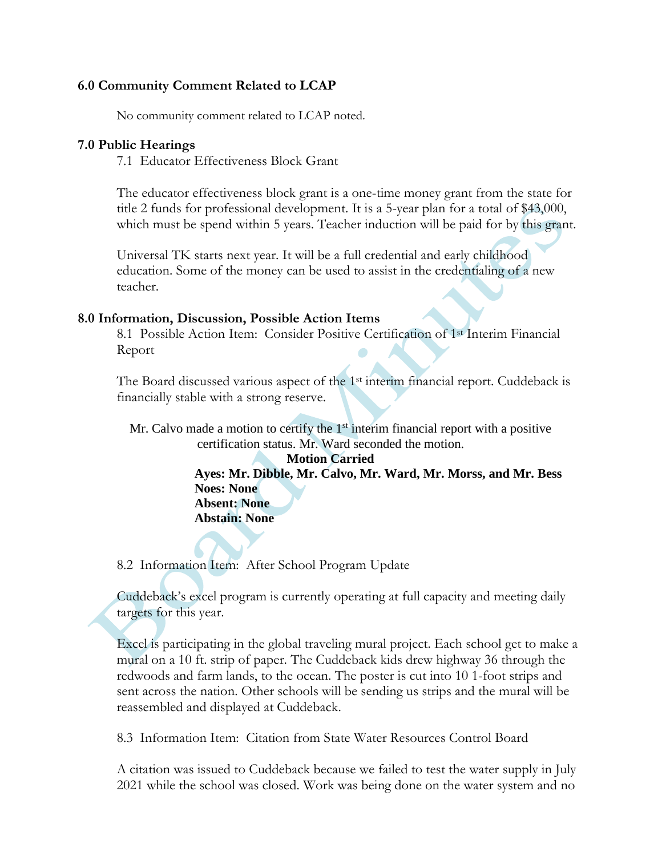## **6.0 Community Comment Related to LCAP**

No community comment related to LCAP noted.

### **7.0 Public Hearings**

7.1 Educator Effectiveness Block Grant

The educator effectiveness block grant is a one-time money grant from the state for title 2 funds for professional development. It is a 5-year plan for a total of \$43,000, which must be spend within 5 years. Teacher induction will be paid for by this grant.

Universal TK starts next year. It will be a full credential and early childhood education. Some of the money can be used to assist in the credentialing of a new teacher.

## **8.0 Information, Discussion, Possible Action Items**

8.1 Possible Action Item: Consider Positive Certification of 1st Interim Financial Report

The Board discussed various aspect of the 1st interim financial report. Cuddeback is financially stable with a strong reserve.

Mr. Calvo made a motion to certify the  $1<sup>st</sup>$  interim financial report with a positive certification status. Mr. Ward seconded the motion.

#### **Motion Carried**

**Ayes: Mr. Dibble, Mr. Calvo, Mr. Ward, Mr. Morss, and Mr. Bess Noes: None Absent: None**

**Abstain: None**

8.2 Information Item: After School Program Update

Cuddeback's excel program is currently operating at full capacity and meeting daily targets for this year.

Excel is participating in the global traveling mural project. Each school get to make a mural on a 10 ft. strip of paper. The Cuddeback kids drew highway 36 through the redwoods and farm lands, to the ocean. The poster is cut into 10 1-foot strips and sent across the nation. Other schools will be sending us strips and the mural will be reassembled and displayed at Cuddeback.

8.3 Information Item: Citation from State Water Resources Control Board

A citation was issued to Cuddeback because we failed to test the water supply in July 2021 while the school was closed. Work was being done on the water system and no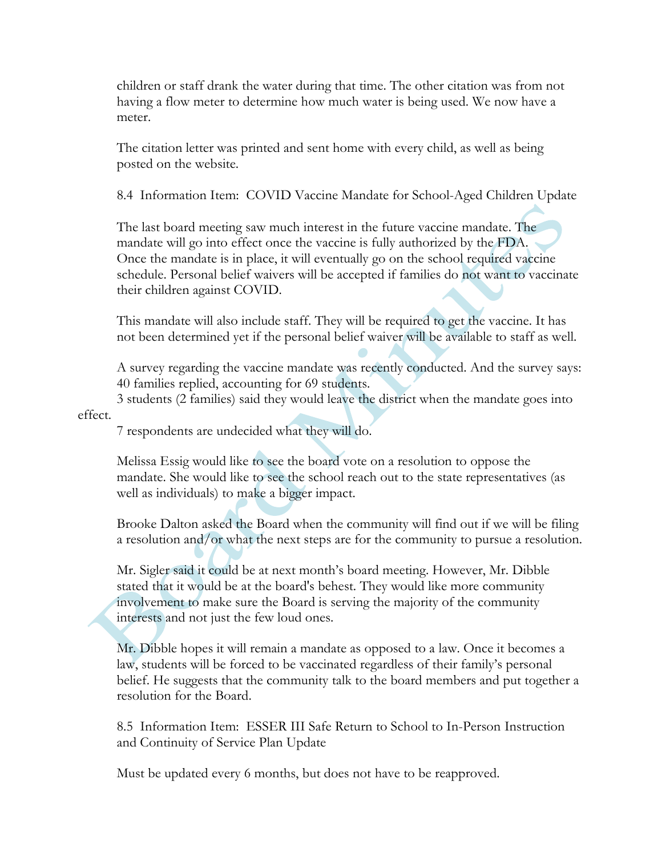children or staff drank the water during that time. The other citation was from not having a flow meter to determine how much water is being used. We now have a meter.

The citation letter was printed and sent home with every child, as well as being posted on the website.

8.4 Information Item: COVID Vaccine Mandate for School-Aged Children Update

The last board meeting saw much interest in the future vaccine mandate. The mandate will go into effect once the vaccine is fully authorized by the FDA. Once the mandate is in place, it will eventually go on the school required vaccine schedule. Personal belief waivers will be accepted if families do not want to vaccinate their children against COVID.

This mandate will also include staff. They will be required to get the vaccine. It has not been determined yet if the personal belief waiver will be available to staff as well.

A survey regarding the vaccine mandate was recently conducted. And the survey says: 40 families replied, accounting for 69 students.

3 students (2 families) said they would leave the district when the mandate goes into effect.

7 respondents are undecided what they will do.

Melissa Essig would like to see the board vote on a resolution to oppose the mandate. She would like to see the school reach out to the state representatives (as well as individuals) to make a bigger impact.

Brooke Dalton asked the Board when the community will find out if we will be filing a resolution and/or what the next steps are for the community to pursue a resolution.

Mr. Sigler said it could be at next month's board meeting. However, Mr. Dibble stated that it would be at the board's behest. They would like more community involvement to make sure the Board is serving the majority of the community interests and not just the few loud ones.

Mr. Dibble hopes it will remain a mandate as opposed to a law. Once it becomes a law, students will be forced to be vaccinated regardless of their family's personal belief. He suggests that the community talk to the board members and put together a resolution for the Board.

8.5 Information Item: ESSER III Safe Return to School to In-Person Instruction and Continuity of Service Plan Update

Must be updated every 6 months, but does not have to be reapproved.